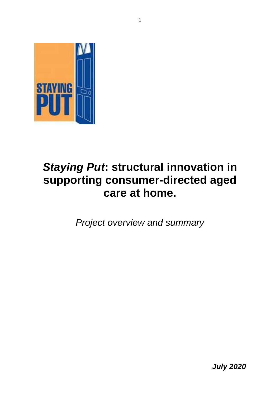

# *Staying Put***: structural innovation in supporting consumer-directed aged care at home.**

*Project overview and summary*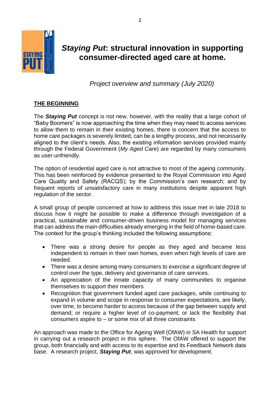

# *Staying Put***: structural innovation in supporting consumer-directed aged care at home.**

 *Project overview and summary (July 2020)*

## **THE BEGINNING**

The *Staying Put* concept is not new, however, with the reality that a large cohort of "Baby Boomers" is now approaching the time when they may need to access services to allow them to remain in their existing homes, there is concern that the access to home care packages is severely limited, can be a lengthy process, and not necessarily aligned to the client's needs. Also, the existing information services provided mainly through the Federal Government (*My Aged Care*) are regarded by many consumers as user-unfriendly.

The option of residential aged care is not attractive to most of the ageing community. This has been reinforced by evidence presented to the Royal Commission into Aged Care Quality and Safety (RACQS); by the Commission's own research; and by frequent reports of unsatisfactory care in many institutions despite apparent high regulation of the sector.

A small group of people concerned at how to address this issue met in late 2018 to discuss how it might be possible to make a difference through investigation of a practical, sustainable and consumer-driven business model for managing services that can address the main difficulties already emerging in the field of home-based care. The context for the group's thinking included the following assumptions:

- There was a strong desire for people as they aged and became less independent to remain in their own homes, even when high levels of care are needed.
- There was a desire among many consumers to exercise a significant degree of control over the type, delivery and governance of care services.
- An appreciation of the innate capacity of many communities to organise themselves to support their members
- Recognition that government funded aged care packages, while continuing to expand in volume and scope in response to consumer expectations, are likely, over time, to become harder to access because of the gap between supply and demand; or require a higher level of co-payment; or lack the flexibility that consumers aspire to – or some mix of all three constraints

An approach was made to the Office for Ageing Well (OfAW) in SA Health for support in carrying out a research project in this sphere. The OfAW offered to support the group, both financially and with access to its expertise and its Feedback Network data base. A research project, *Staying Put*, was approved for development.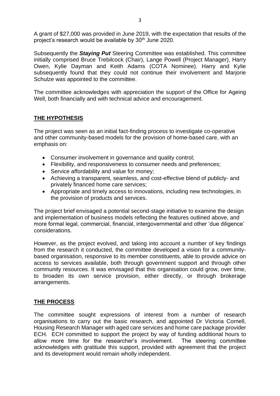A grant of \$27,000 was provided in June 2019, with the expectation that results of the project's research would be available by 30<sup>th</sup> June 2020.

Subsequently the *Staying Put* Steering Committee was established. This committee initially comprised Bruce Trebilcock (Chair), Lange Powell (Project Manager), Harry Owen, Kylie Dayman and Keith Adams (COTA Nominee). Harry and Kylie subsequently found that they could not continue their involvement and Marjorie Schulze was appointed to the committee.

The committee acknowledges with appreciation the support of the Office for Ageing Well, both financially and with technical advice and encouragement.

#### **THE HYPOTHESIS**

The project was seen as an initial fact-finding process to investigate co-operative and other community-based models for the provision of home-based care, with an emphasis on:

- Consumer involvement in governance and quality control;
- Flexibility, and responsiveness to consumer needs and preferences;
- Service affordability and value for money;
- Achieving a transparent, seamless, and cost-effective blend of publicly- and privately financed home care services;
- Appropriate and timely access to innovations, including new technologies, in the provision of products and services.

The project brief envisaged a potential second-stage initiative to examine the design and implementation of business models reflecting the features outlined above, and more formal legal, commercial, financial, intergovernmental and other 'due diligence' considerations.

However, as the project evolved, and taking into account a number of key findings from the research it conducted, the committee developed a vision for a communitybased organisation, responsive to its member constituents, able to provide advice on access to services available, both through government support and through other community resources. It was envisaged that this organisation could grow, over time, to broaden its own service provision, either directly, or through brokerage arrangements.

### **THE PROCESS**

The committee sought expressions of interest from a number of research organisations to carry out the basic research, and appointed Dr Victoria Cornell, Housing Research Manager with aged care services and home care package provider ECH. ECH committed to support the project by way of funding additional hours to allow more time for the researcher's involvement. The steering committee acknowledges with gratitude this support, provided with agreement that the project and its development would remain wholly independent.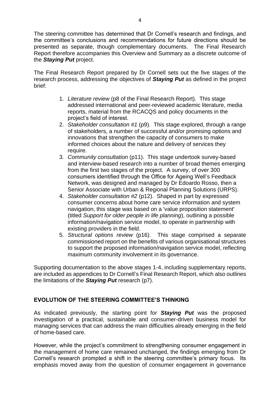The steering committee has determined that Dr Cornell's research and findings, and the committee's conclusions and recommendations for future directions should be presented as separate, though complementary documents. The Final Research Report therefore accompanies this Overview and Summary as a discrete outcome of the *Staying Put* project.

The Final Research Report prepared by Dr Cornell sets out the five stages of the research process, addressing the objectives of *Staying Put* as defined in the project brief:

- 1. *Literature review* (p8 of the Final Research Report). This stage addressed international and peer-reviewed academic literature, media reports, material from the RCACQS and policy documents in the project's field of interest.
- 2. *Stakeholder consultation #1* (p9). This stage explored, through a range of stakeholders, a number of successful and/or promising options and innovations that strengthen the capacity of consumers to make informed choices about the nature and delivery of services they require.
- 3. *Community consultation* (p11). This stage undertook survey-based and interview-based research into a number of broad themes emerging from the first two stages of the project. A survey, of over 300 consumers identified through the Office for Ageing Well's Feedback Network, was designed and managed by Dr Edoardo Rosso, then a Senior Associate with Urban & Regional Planning Solutions (URPS).
- 4. *Stakeholder consultation #2* (p12). Shaped in part by expressed consumer concerns about home care service information and system navigation, this stage was based on a 'value proposition statement' (titled *Support for older people in life planning*), outlining a possible information/navigation service model, to operate in partnership with existing providers in the field.
- 5. *Structural options review* (p16). This stage comprised a separate commissioned report on the benefits of various organisational structures to support the proposed information/navigation service model, reflecting maximum community involvement in its governance.

Supporting documentation to the above stages 1-4, including supplementary reports, are included as appendices to Dr Cornell's Final Research Report, which also outlines the limitations of the *Staying Put* research (p7).

### **EVOLUTION OF THE STEERING COMMITTEE'S THINKING**

As indicated previously, the starting point for *Staying Put* was the proposed investigation of a practical, sustainable and consumer-driven business model for managing services that can address the main difficulties already emerging in the field of home-based care.

However, while the project's commitment to strengthening consumer engagement in the management of home care remained unchanged, the findings emerging from Dr Cornell's research prompted a shift in the steering committee's primary focus. Its emphasis moved away from the question of consumer engagement in governance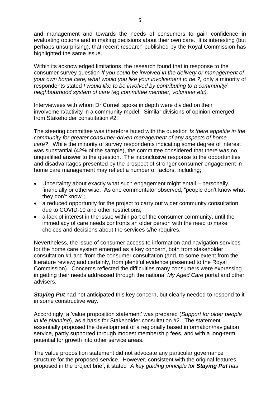and management and towards the needs of consumers to gain confidence in evaluating options and in making decisions about their own care. It is interesting (but perhaps unsurprising), that recent research published by the Royal Commission has highlighted the same issue.

Within its acknowledged limitations, the research found that in response to the consumer survey question *If you could be involved in the delivery or management of your own home care, what would you like your involvement to be ?,* only a minority of respondents stated *I would like to be involved by contributing to a community/ neighbourhood system of care (eg committee member, volunteer etc).*

Interviewees with whom Dr Cornell spoke in depth were divided on their involvement/activity in a community model. Similar divisions of opinion emerged from Stakeholder consultation #2.

The steering committee was therefore faced with the question *Is there appetite in the community for greater consumer-driven management of any aspects of home care?* While the minority of survey respondents indicating some degree of interest was substantial (42% of the sample), the committee considered that there was no unqualified answer to the question. The inconclusive response to the opportunities and disadvantages presented by the prospect of stronger consumer engagement in home care management may reflect a number of factors, including;

- Uncertainty about exactly what such engagement might entail personally, financially or otherwise. As one commentator observed, "people don't know what they don't know";
- a reduced opportunity for the project to carry out wider community consultation due to COVID-19 and other restrictions;
- a lack of interest in the issue within part of the consumer community, until the immediacy of care needs confronts an older person with the need to make choices and decisions about the services s/he requires.

Nevertheless, the issue of consumer access to information and navigation services for the home care system emerged as a key concern, both from stakeholder consultation #1 and from the consumer consultation (and, to some extent from the literature review; and certainly, from plentiful evidence presented to the Royal Commission). Concerns reflected the difficulties many consumers were expressing in getting their needs addressed through the national *My Aged Care* portal and other advisers.

**Staying Put** had not anticipated this key concern, but clearly needed to respond to it in some constructive way.

Accordingly, a 'value proposition statement' was prepared (*Support for older people in life planning*), as a basis for Stakeholder consultation #2. The statement essentially proposed the development of a regionally based information/navigation service, partly supported through modest membership fees, and with a long-term potential for growth into other service areas.

The value proposition statement did not advocate any particular governance structure for the proposed service. However, consistent with the original features proposed in the project brief, it stated *"A key guiding principle for Staying Put has*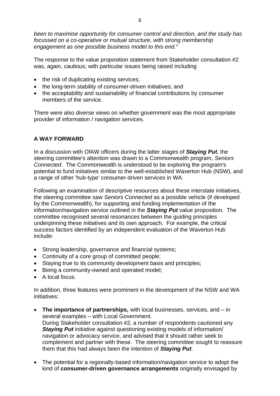*been to maximise opportunity for consumer control and direction, and the study has focussed on a co-operative or mutual structure, with strong membership engagement as one possible business model to this end."*

The response to the value proposition statement from Stakeholder consultation #2 was, again, cautious; with particular issues being raised including

- the risk of duplicating existing services;
- the long-term stability of consumer-driven initiatives; and
- the acceptability and sustainability of financial contributions by consumer members of the service.

There were also diverse views on whether government was the most appropriate provider of information / navigation services.

#### **A WAY FORWARD**

In a discussion with OfAW officers during the latter stages of *Staying Put*, the steering committee's attention was drawn to a Commonwealth program, *Seniors Connected*. The Commonwealth is understood to be exploring the program's potential to fund initiatives similar to the well-established Waverton Hub (NSW), and a range of other 'hub-type' consumer-driven services in WA.

Following an examination of descriptive resources about these interstate initiatives, the steering committee saw *Seniors Connected* as a possible vehicle (if developed by the Commonwealth), for supporting and funding implementation of the information/navigation service outlined in the *Staying Put* value proposition. The committee recognised several resonances between the guiding principles underpinning these initiatives and its own approach. For example, the critical success factors identified by an independent evaluation of the Waverton Hub include:

- Strong leadership, governance and financial systems;
- Continuity of a core group of committed people;
- Staying true to its community development basis and principles;
- Being a community-owned and operated model;
- A local focus.

In addition, three features were prominent in the development of the NSW and WA initiatives:

- **The importance of partnerships,** with local businesses, services, and in several examples – with Local Government. During Stakeholder consultation #2, a number of respondents cautioned any *Staying Put* initiative against questioning existing models of information/ navigation or advocacy service, and advised that it should rather seek to complement and partner with these. The steering committee sought to reassure them that this had always been the intention of *Staying Put*.
- The potential for a regionally-based information/navigation service to adopt the kind of **consumer-driven governance arrangements** originally envisaged by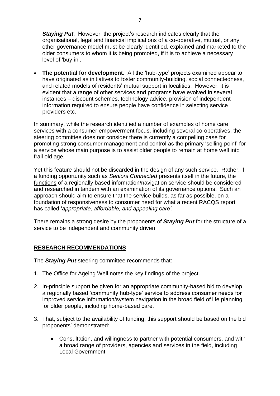*Staying Put*. However, the project's research indicates clearly that the organisational, legal and financial implications of a co-operative, mutual, or any other governance model must be clearly identified, explained and marketed to the older consumers to whom it is being promoted, if it is to achieve a necessary level of 'buy-in'.

• **The potential for development**. All the 'hub-type' projects examined appear to have originated as initiatives to foster community-building, social connectedness, and related models of residents' mutual support in localities. However, it is evident that a range of other services and programs have evolved in several instances – discount schemes, technology advice, provision of independent information required to ensure people have confidence in selecting service providers etc.

In summary, while the research identified a number of examples of home care services with a consumer empowerment focus, including several co-operatives, the steering committee does not consider there is currently a compelling case for promoting strong consumer management and control as the primary 'selling point' for a service whose main purpose is to assist older people to remain at home well into frail old age.

Yet this feature should not be discarded in the design of any such service. Rather, if a funding opportunity such as *Seniors Connected* presents itself in the future, the functions of a regionally based information/navigation service should be considered and researched in tandem with an examination of its governance options. Such an approach should aim to ensure that the service builds, as far as possible, on a foundation of responsiveness to consumer need for what a recent RACQS report has called '*appropriate, affordable, and appealing care'.*

There remains a strong desire by the proponents of *Staying Put* for the structure of a service to be independent and community driven.

### **RESEARCH RECOMMENDATIONS**

The *Staying Put* steering committee recommends that:

- 1. The Office for Ageing Well notes the key findings of the project.
- 2. In-principle support be given for an appropriate community-based bid to develop a regionally based 'community hub-type' service to address consumer needs for improved service information/system navigation in the broad field of life planning for older people, including home-based care.
- 3. That, subject to the availability of funding, this support should be based on the bid proponents' demonstrated:
	- Consultation, and willingness to partner with potential consumers, and with a broad range of providers, agencies and services in the field, including Local Government;